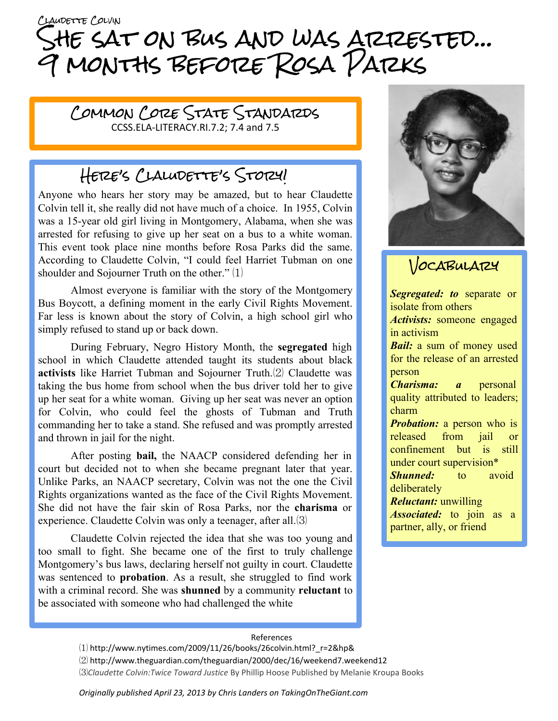# CLAUDETTE COLVIN She sat on bus and was arrested… 9 months before Rosa Parks

Common Core State Standards CCSS.ELA-LITERACY.RI.7.2; 7.4 and 7.5

## Here's Claludette's Story!

Anyone who hears her story may be amazed, but to hear Claudette Colvin tell it, she really did not have much of a choice. In 1955, Colvin was a 15-year old girl living in Montgomery, Alabama, when she was arrested for refusing to give up her seat on a bus to a white woman. This event took place nine months before Rosa Parks did the same. According to Claudette Colvin, "I could feel Harriet Tubman on one shoulder and Sojourner Truth on the other." ⑴

Almost everyone is familiar with the story of the Montgomery Bus Boycott, a defining moment in the early Civil Rights Movement. Far less is known about the story of Colvin, a high school girl who simply refused to stand up or back down.

During February, Negro History Month, the **segregated** high school in which Claudette attended taught its students about black **activists** like Harriet Tubman and Sojourner Truth.⑵ Claudette was taking the bus home from school when the bus driver told her to give up her seat for a white woman. Giving up her seat was never an option for Colvin, who could feel the ghosts of Tubman and Truth commanding her to take a stand. She refused and was promptly arrested and thrown in jail for the night.

After posting **bail,** the NAACP considered defending her in court but decided not to when she became pregnant later that year. Unlike Parks, an NAACP secretary, Colvin was not the one the Civil Rights organizations wanted as the face of the Civil Rights Movement. She did not have the fair skin of Rosa Parks, nor the **charisma** or experience. Claudette Colvin was only a teenager, after all.(3)

Claudette Colvin rejected the idea that she was too young and too small to fight. She became one of the first to truly challenge Montgomery's bus laws, declaring herself not guilty in court. Claudette was sentenced to **probation**. As a result, she struggled to find work with a criminal record. She was **shunned** by a community **reluctant** to be associated with someone who had challenged the white



### VOCABULARY

*Segregated: to* separate or isolate from others *Activists:* someone engaged in activism *Bail:* a sum of money used for the release of an arrested person *Charisma: a* personal quality attributed to leaders; charm *Probation:* a person who is released from jail or confinement but is still under court supervision\* *Shunned:* to avoid deliberately *Reluctant:* unwilling *Associated:* to join as a partner, ally, or friend

#### References

 $(1)$  http://www.nytimes.com/2009/11/26/books/26colvin.html? r=2&hp& ⑵ http://www.theguardian.com/theguardian/2000/dec/16/weekend7.weekend12 ⑶*Claudette Colvin:Twice Toward Justice* By Phillip Hoose Published by Melanie Kroupa Books

*Originally published April 23, 2013 by Chris Landers on TakingOnTheGiant.com*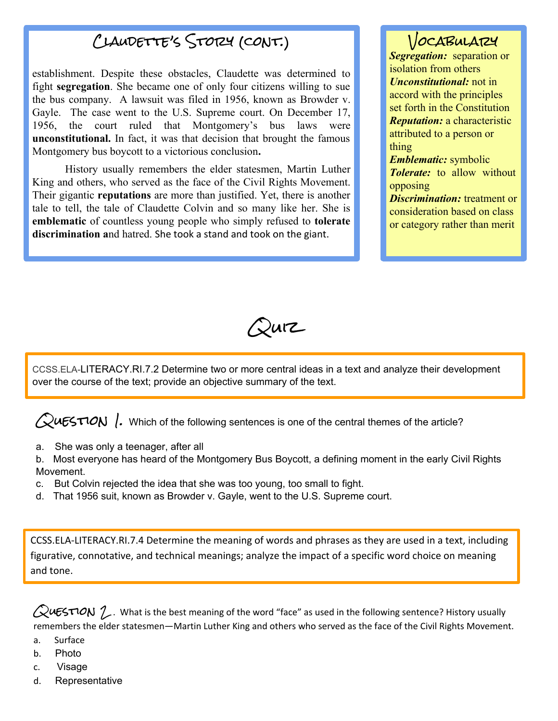### Claudette's Story (cont.)

establishment. Despite these obstacles, Claudette was determined to fight **segregation**. She became one of only four citizens willing to sue the bus company. A lawsuit was filed in 1956, known as Browder v. Gayle. The case went to the U.S. Supreme court. On December 17, 1956, the court ruled that Montgomery's bus laws were **unconstitutional.** In fact, it was that decision that brought the famous Montgomery bus boycott to a victorious conclusion**.**

History usually remembers the elder statesmen, Martin Luther King and others, who served as the face of the Civil Rights Movement. Their gigantic **reputations** are more than justified. Yet, there is another tale to tell, the tale of Claudette Colvin and so many like her. She is **emblematic** of countless young people who simply refused to **tolerate discrimination a**nd hatred. She took a stand and took on the giant.

### VOCABULATZY

*Segregation:* separation or isolation from others *Unconstitutional:* not in accord with the principles set forth in the Constitution *Reputation:* a characteristic attributed to a person or thing

*Emblematic:* symbolic *Tolerate:* to allow without opposing

*Discrimination:* treatment or consideration based on class or category rather than merit

 $\mathcal{Q}$ urz

[CCSS.ELA-](http://www.corestandards.org/ELA-Literacy/RI/7/2/)LITERACY.RI.7.2 Determine two or more central ideas in a text and analyze their development over the course of the text; provide an objective summary of the text.

 $\sqrt{2}$ uESTION . Which of the following sentences is one of the central themes of the article?

a. She was only a teenager, after all

b. Most everyone has heard of the Montgomery Bus Boycott, a defining moment in the early Civil Rights Movement.

- c. But Colvin rejected the idea that she was too young, too small to fight.
- d. That 1956 suit, known as Browder v. Gayle, went to the U.S. Supreme court.

CCSS.ELA-LITERACY.RI.7.4 Determine the meaning of words and phrases as they are used in a text, including figurative, connotative, and technical meanings; analyze the impact of a specific word choice on meaning and tone.

 $\mathcal{Q}$ uESTION  $\mathcal{D}$ . What is the best meaning of the word "face" as used in the following sentence? History usually remembers the elder statesmen—Martin Luther King and others who served as the face of the Civil Rights Movement.

- a. Surface
- b. Photo
- c. Visage
- d. Representative